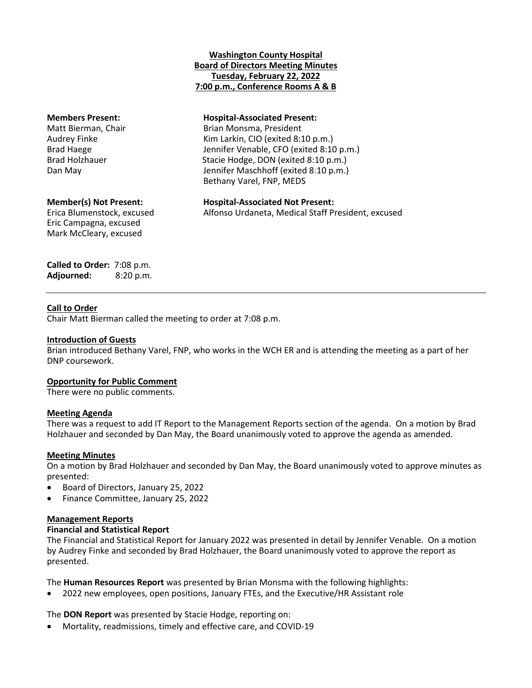# **Washington County Hospital Board of Directors Meeting Minutes Tuesday, February 22, 2022 7:00 p.m., Conference Rooms A & B**

# **Members Present: Hospital-Associated Present:**

Matt Bierman, Chair **Brian Montes** Brian Monsma, President Audrey Finke Kim Larkin, CIO (exited 8:10 p.m.) Brad Haege The State of Lennifer Venable, CFO (exited 8:10 p.m.) Brad Holzhauer Stacie Hodge, DON (exited 8:10 p.m.) Dan May Jennifer Maschhoff (exited 8:10 p.m.) Bethany Varel, FNP, MEDS

# **Member(s) Not Present: Hospital-Associated Not Present:**

Eric Campagna, excused Mark McCleary, excused

Erica Blumenstock, excused Alfonso Urdaneta, Medical Staff President, excused

**Called to Order:** 7:08 p.m. **Adjourned:** 8:20 p.m.

# **Call to Order**

Chair Matt Bierman called the meeting to order at 7:08 p.m.

# **Introduction of Guests**

Brian introduced Bethany Varel, FNP, who works in the WCH ER and is attending the meeting as a part of her DNP coursework.

# **Opportunity for Public Comment**

There were no public comments.

# **Meeting Agenda**

There was a request to add IT Report to the Management Reports section of the agenda. On a motion by Brad Holzhauer and seconded by Dan May, the Board unanimously voted to approve the agenda as amended.

# **Meeting Minutes**

On a motion by Brad Holzhauer and seconded by Dan May, the Board unanimously voted to approve minutes as presented:

- Board of Directors, January 25, 2022
- Finance Committee, January 25, 2022

# **Management Reports**

# **Financial and Statistical Report**

The Financial and Statistical Report for January 2022 was presented in detail by Jennifer Venable. On a motion by Audrey Finke and seconded by Brad Holzhauer, the Board unanimously voted to approve the report as presented.

The **Human Resources Report** was presented by Brian Monsma with the following highlights:

2022 new employees, open positions, January FTEs, and the Executive/HR Assistant role

The **DON Report** was presented by Stacie Hodge, reporting on:

Mortality, readmissions, timely and effective care, and COVID-19